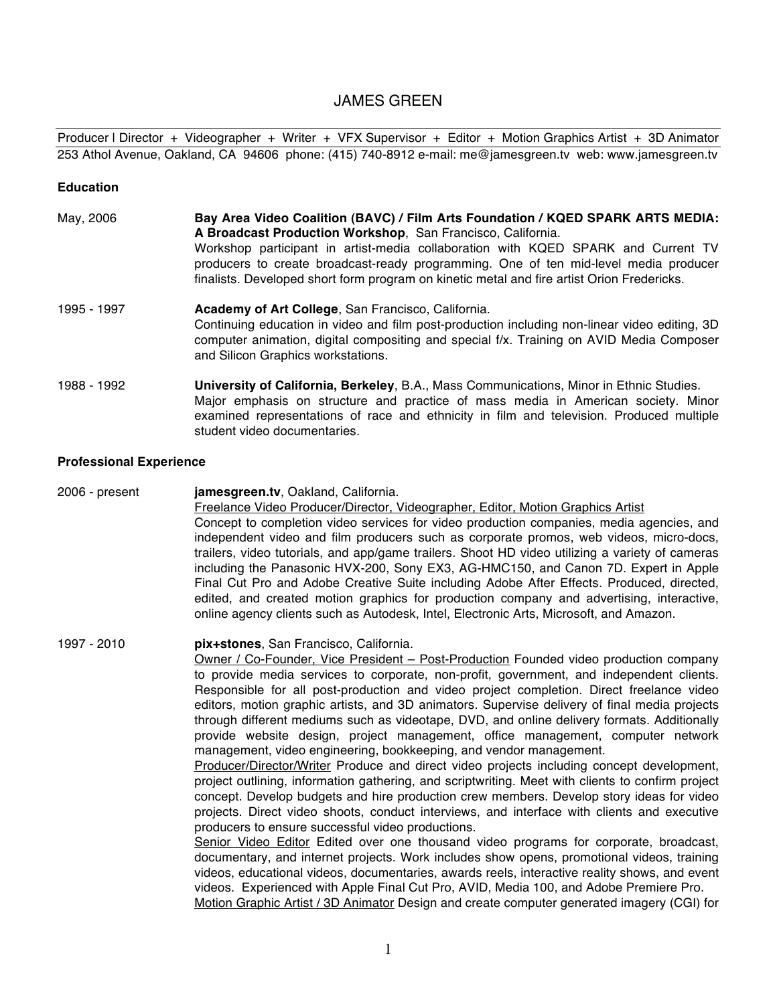# JAMES GREEN

Producer | Director + Videographer + Writer + VFX Supervisor + Editor + Motion Graphics Artist + 3D Animator 253 Athol Avenue, Oakland, CA 94606 phone: (415) 740-8912 e-mail: me@jamesgreen.tv web: www.jamesgreen.tv

#### **Education**

- May, 2006 **Bay Area Video Coalition (BAVC) / Film Arts Foundation / KQED SPARK ARTS MEDIA: A Broadcast Production Workshop**, San Francisco, California. Workshop participant in artist-media collaboration with KQED SPARK and Current TV producers to create broadcast-ready programming. One of ten mid-level media producer finalists. Developed short form program on kinetic metal and fire artist Orion Fredericks.
- 1995 1997 **Academy of Art College**, San Francisco, California. Continuing education in video and film post-production including non-linear video editing, 3D computer animation, digital compositing and special f/x. Training on AVID Media Composer and Silicon Graphics workstations.
- 1988 1992 **University of California, Berkeley**, B.A., Mass Communications, Minor in Ethnic Studies. Major emphasis on structure and practice of mass media in American society. Minor examined representations of race and ethnicity in film and television. Produced multiple student video documentaries.

### **Professional Experience**

2006 - present **jamesgreen.tv**, Oakland, California. Freelance Video Producer/Director, Videographer, Editor, Motion Graphics Artist Concept to completion video services for video production companies, media agencies, and independent video and film producers such as corporate promos, web videos, micro-docs, trailers, video tutorials, and app/game trailers. Shoot HD video utilizing a variety of cameras including the Panasonic HVX-200, Sony EX3, AG-HMC150, and Canon 7D. Expert in Apple Final Cut Pro and Adobe Creative Suite including Adobe After Effects. Produced, directed, edited, and created motion graphics for production company and advertising, interactive, online agency clients such as Autodesk, Intel, Electronic Arts, Microsoft, and Amazon.

1997 - 2010 **pix+stones**, San Francisco, California. Owner / Co-Founder, Vice President – Post-Production Founded video production company to provide media services to corporate, non-profit, government, and independent clients. Responsible for all post-production and video project completion. Direct freelance video editors, motion graphic artists, and 3D animators. Supervise delivery of final media projects through different mediums such as videotape, DVD, and online delivery formats. Additionally provide website design, project management, office management, computer network management, video engineering, bookkeeping, and vendor management. Producer/Director/Writer Produce and direct video projects including concept development, project outlining, information gathering, and scriptwriting. Meet with clients to confirm project concept. Develop budgets and hire production crew members. Develop story ideas for video projects. Direct video shoots, conduct interviews, and interface with clients and executive producers to ensure successful video productions. Senior Video Editor Edited over one thousand video programs for corporate, broadcast, documentary, and internet projects. Work includes show opens, promotional videos, training videos, educational videos, documentaries, awards reels, interactive reality shows, and event videos. Experienced with Apple Final Cut Pro, AVID, Media 100, and Adobe Premiere Pro.

Motion Graphic Artist / 3D Animator Design and create computer generated imagery (CGI) for